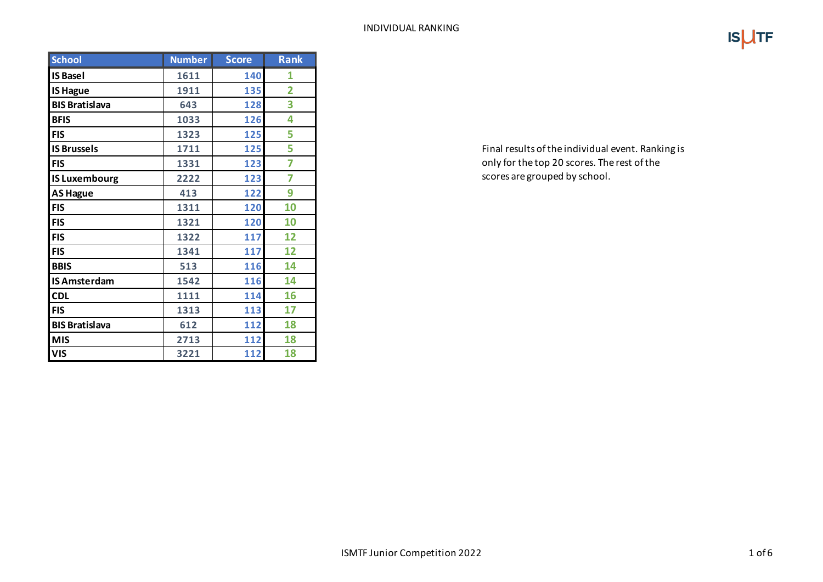|--|--|

| <b>School</b>         | <b>Number</b> | <b>Score</b> | <b>Rank</b>    |
|-----------------------|---------------|--------------|----------------|
| <b>IS Basel</b>       | 1611          | 140          | 1              |
| <b>IS Hague</b>       | 1911          | 135          | $\overline{2}$ |
| <b>BIS Bratislava</b> | 643           | 128          | 3              |
| <b>BFIS</b>           | 1033          | 126          | 4              |
| <b>FIS</b>            | 1323          | 125          | 5              |
| <b>IS Brussels</b>    | 1711          | 125          | 5              |
| <b>FIS</b>            | 1331          | 123          | 7              |
| <b>IS Luxembourg</b>  | 2222          | 123          | 7              |
| <b>AS Hague</b>       | 413           | 122          | 9              |
| <b>FIS</b>            | 1311          | 120          | 10             |
| <b>FIS</b>            | 1321          | 120          | 10             |
| <b>FIS</b>            | 1322          | 117          | 12             |
| <b>FIS</b>            | 1341          | 117          | 12             |
| <b>BBIS</b>           | 513           | 116          | 14             |
| <b>IS Amsterdam</b>   | 1542          | 116          | 14             |
| <b>CDL</b>            | 1111          | 114          | 16             |
| <b>FIS</b>            | 1313          | 113          | 17             |
| <b>BIS Bratislava</b> | 612           | 112          | 18             |
| <b>MIS</b>            | 2713          | 112          | 18             |
| <b>VIS</b>            | 3221          | 112          | 18             |

Final results of the individual event. Ranking is only for the top 20 scores. The rest of the scores are grouped by school.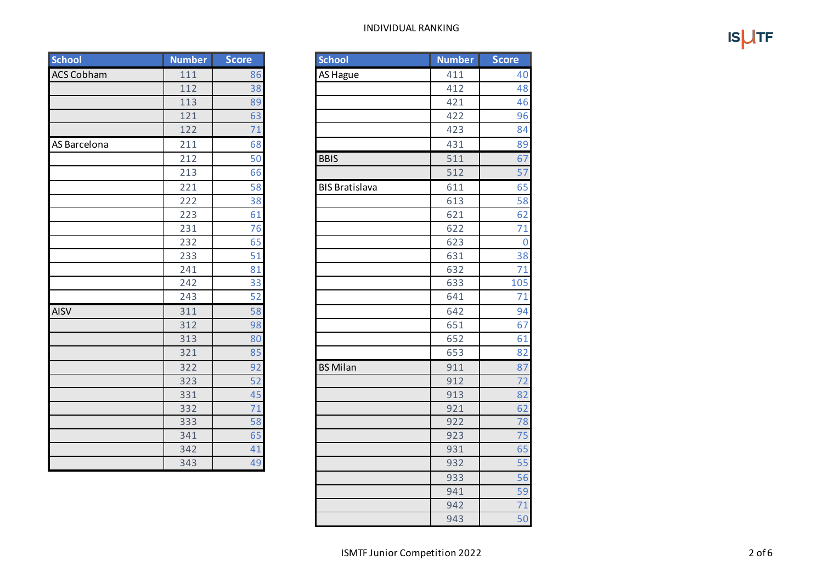| INDIVIDUAL RANKING |  |
|--------------------|--|
|--------------------|--|

 $IS$ <sub>UTF</sub>

| School            | <b>Number</b> | <b>Score</b> | <b>School</b>         | <b>Number</b> | <b>Score</b> |
|-------------------|---------------|--------------|-----------------------|---------------|--------------|
| <b>ACS Cobham</b> | 111           | 86           | AS Hague              | 411           |              |
|                   | 112           | 38           |                       | 412           |              |
|                   | 113           | 89           |                       | 421           |              |
|                   | 121           | 63           |                       | 422           |              |
|                   | 122           | 71           |                       | 423           |              |
| AS Barcelona      | 211           | 68           |                       | 431           |              |
|                   | 212           | 50           | <b>BBIS</b>           | 511           |              |
|                   | 213           | 66           |                       | 512           |              |
|                   | 221           | 58           | <b>BIS Bratislava</b> | 611           |              |
|                   | 222           | 38           |                       | 613           |              |
|                   | 223           | 61           |                       | 621           |              |
|                   | 231           | 76           |                       | 622           |              |
|                   | 232           | 65           |                       | 623           |              |
|                   | 233           | 51           |                       | 631           |              |
|                   | 241           | 81           |                       | 632           |              |
|                   | 242           | 33           |                       | 633           | 1(           |
|                   | 243           | 52           |                       | 641           |              |
| AISV              | 311           | 58           |                       | 642           |              |
|                   | 312           | 98           |                       | 651           |              |
|                   | 313           | 80           |                       | 652           |              |
|                   | 321           | 85           |                       | 653           |              |
|                   | 322           | 92           | <b>BS Milan</b>       | 911           |              |
|                   | 323           | 52           |                       | 912           |              |
|                   | 331           | 45           |                       | 913           |              |
|                   | 332           | 71           |                       | 921           |              |
|                   | 333           | 58           |                       | 922           |              |
|                   | 341           | 65           |                       | 923           |              |
|                   | 342           | 41           |                       | 931           |              |
|                   | 343           | 49           |                       | 932           |              |

| <b>Number</b> | <b>Score</b> | <b>School</b>         | <b>Number</b> | <b>Score</b>    |
|---------------|--------------|-----------------------|---------------|-----------------|
| 111           | 86           | <b>AS Hague</b>       | 411           | 40              |
| 112           | 38           |                       | 412           | 48              |
| 113           | 89           |                       | 421           | 46              |
| 121           | 63           |                       | 422           | 96              |
| 122           | 71           |                       | 423           | 84              |
| 211           | 68           |                       | 431           | 89              |
| 212           | 50           | <b>BBIS</b>           | 511           | 67              |
| 213           | 66           |                       | 512           | 57              |
| 221           | 58           | <b>BIS Bratislava</b> | 611           | 65              |
| 222           | 38           |                       | 613           | 58              |
| 223           | 61           |                       | 621           | 62              |
| 231           | 76           |                       | 622           | 71              |
| 232           | 65           |                       | 623           | $\overline{0}$  |
| 233           | 51           |                       | 631           | 38              |
| 241           | 81           |                       | 632           | 71              |
| 242           | 33           |                       | 633           | 105             |
| 243           | 52           |                       | 641           | 71              |
| 311           | 58           |                       | 642           | 94              |
| 312           | 98           |                       | 651           | 67              |
| 313           | 80           |                       | 652           | 61              |
| 321           | 85           |                       | 653           | 82              |
| 322           | 92           | <b>BS Milan</b>       | 911           | 87              |
| 323           | 52           |                       | 912           | $\overline{72}$ |
| 331           | 45           |                       | 913           | 82              |
| 332           | 71           |                       | 921           | 62              |
| 333           | 58           |                       | 922           | $\overline{78}$ |
| 341           | 65           |                       | 923           | 75              |
| 342           | 41           |                       | 931           | 65              |
| 343           | 49           |                       | 932           | 55              |
|               |              |                       | 933           | 56              |
|               |              |                       | 941           | 59              |
|               |              |                       | 942           | 71              |
|               |              |                       | 943           | 50              |
|               |              |                       |               |                 |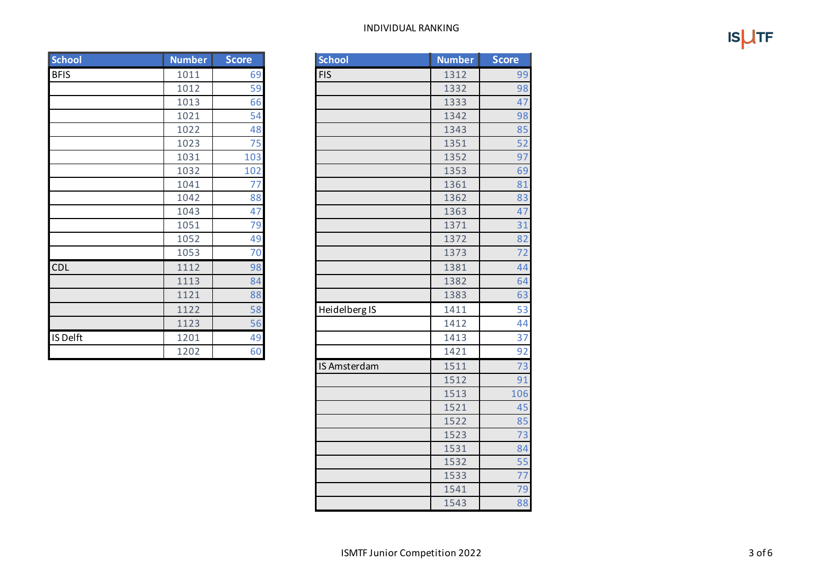## INDIVIDUAL RANKING

**ISUTF** 

| School      | <b>Number</b> | <b>Score</b> | <b>School</b> | <b>Number</b> |
|-------------|---------------|--------------|---------------|---------------|
| <b>BFIS</b> | 1011          | 69           | <b>FIS</b>    | 1312          |
|             | 1012          | 59           |               | 1332          |
|             | 1013          | 66           |               | 1333          |
|             | 1021          | 54           |               | 1342          |
|             | 1022          | 48           |               | 1343          |
|             | 1023          | 75           |               | 1351          |
|             | 1031          | 103          |               | 1352          |
|             | 1032          | 102          |               | 1353          |
|             | 1041          | 77           |               | 1361          |
|             | 1042          | 88           |               | 1362          |
|             | 1043          | 47           |               | 1363          |
|             | 1051          | 79           |               | 1371          |
|             | 1052          | 49           |               | 1372          |
|             | 1053          | 70           |               | 1373          |
| <b>CDL</b>  | 1112          | 98           |               | 1381          |
|             | 1113          | 84           |               | 1382          |
|             | 1121          | 88           |               | 1383          |
|             | 1122          | 58           | Heidelberg IS | 1411          |
|             | 1123          | 56           |               | 1412          |
| IS Delft    | 1201          | 49           |               | 1413          |
|             | 1202          | 60           |               | 1421          |

| School      | <b>Number</b> | <b>Score</b> | <b>School</b> | <b>Number</b> | <b>Score</b> |
|-------------|---------------|--------------|---------------|---------------|--------------|
| <b>BFIS</b> | 1011          | 69           | <b>FIS</b>    | 1312          | 99           |
|             | 1012          | 59           |               | 1332          | 98           |
|             | 1013          | 66           |               | 1333          | 47           |
|             | 1021          | 54           |               | 1342          | 98           |
|             | 1022          | 48           |               | 1343          | 85           |
|             | 1023          | 75           |               | 1351          | 52           |
|             | 1031          | 103          |               | 1352          | 97           |
|             | 1032          | 102          |               | 1353          | 69           |
|             | 1041          | 77           |               | 1361          | 81           |
|             | 1042          | 88           |               | 1362          | 83           |
|             | 1043          | 47           |               | 1363          | 47           |
|             | 1051          | 79           |               | 1371          | 31           |
|             | 1052          | 49           |               | 1372          | 82           |
|             | 1053          | 70           |               | 1373          | 72           |
| <b>CDL</b>  | 1112          | 98           |               | 1381          | 44           |
|             | 1113          | 84           |               | 1382          | 64           |
|             | 1121          | 88           |               | 1383          | 63           |
|             | 1122          | 58           | Heidelberg IS | 1411          | 53           |
|             | 1123          | 56           |               | 1412          | 44           |
| IS Delft    | 1201          | 49           |               | 1413          | 37           |
|             | 1202          | 60           |               | 1421          | 92           |
|             |               |              | IS Amsterdam  | 1511          | 73           |
|             |               |              |               | 1512          | 91           |
|             |               |              |               | 1513          | 106          |
|             |               |              |               | 1521          | 45           |
|             |               |              |               | 1522          | 85           |
|             |               |              |               | 1523          | 73           |
|             |               |              |               | 1531          | 84           |
|             |               |              |               | 1532          | 55           |
|             |               |              |               | 1533          | 77           |
|             |               |              |               | 1541          | 79           |
|             |               |              |               | 1543          | 88           |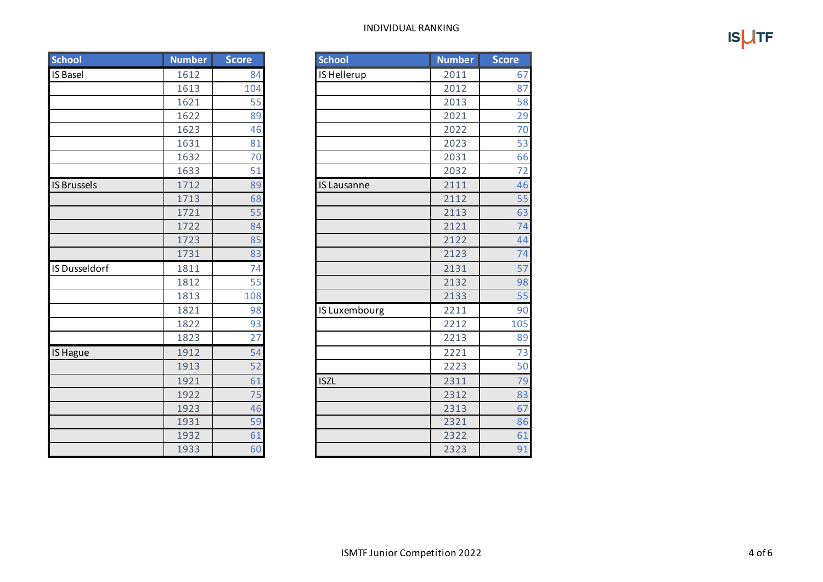## INDIVIDUAL RANKING

 $IS$ <sub>UTF</sub>

| <b>School</b>        | <b>Number</b> | <b>Score</b> | <b>School</b> | <b>Number</b> | <b>Score</b> |
|----------------------|---------------|--------------|---------------|---------------|--------------|
| <b>IS Basel</b>      | 1612          | 84           | IS Hellerup   | 2011          |              |
|                      | 1613          | 104          |               | 2012          |              |
|                      | 1621          | 55           |               | 2013          |              |
|                      | 1622          | 89           |               | 2021          |              |
|                      | 1623          | 46           |               | 2022          |              |
|                      | 1631          | 81           |               | 2023          |              |
|                      | 1632          | 70           |               | 2031          |              |
|                      | 1633          | 51           |               | 2032          |              |
| <b>IS Brussels</b>   | 1712          | 89           | IS Lausanne   | 2111          |              |
|                      | 1713          | 68           |               | 2112          |              |
|                      | 1721          | 55           |               | 2113          |              |
|                      | 1722          | 84           |               | 2121          |              |
|                      | 1723          | 85           |               | 2122          |              |
|                      | 1731          | 83           |               | 2123          |              |
| <b>IS Dusseldorf</b> | 1811          | 74           |               | 2131          |              |
|                      | 1812          | 55           |               | 2132          |              |
|                      | 1813          | 108          |               | 2133          |              |
|                      | 1821          | 98           | IS Luxembourg | 2211          |              |
|                      | 1822          | 93           |               | 2212          | 1(           |
|                      | 1823          | 27           |               | 2213          |              |
| <b>IS Hague</b>      | 1912          | 54           |               | 2221          |              |
|                      | 1913          | 52           |               | 2223          |              |
|                      | 1921          | 61           | <b>ISZL</b>   | 2311          |              |
|                      | 1922          | 75           |               | 2312          |              |
|                      | 1923          | 46           |               | 2313          |              |
|                      | 1931          | 59           |               | 2321          |              |
|                      | 1932          | 61           |               | 2322          |              |
|                      | 1933          | 60           |               | 2323          |              |

| <b>School</b>      | <b>Number</b> | <b>Score</b> | School             | <b>Number</b> | <b>Score</b> |
|--------------------|---------------|--------------|--------------------|---------------|--------------|
| <b>IS Basel</b>    | 1612          | 84           | IS Hellerup        | 2011          | 67           |
|                    | 1613          | 104          |                    | 2012          | 87           |
|                    | 1621          | 55           |                    | 2013          | 58           |
|                    | 1622          | 89           |                    | 2021          | 29           |
|                    | 1623          | 46           |                    | 2022          | 70           |
|                    | 1631          | 81           |                    | 2023          | 53           |
|                    | 1632          | 70           |                    | 2031          | 66           |
|                    | 1633          | 51           |                    | 2032          | 72           |
| <b>IS Brussels</b> | 1712          | 89           | <b>IS Lausanne</b> | 2111          | 46           |
|                    | 1713          | 68           |                    | 2112          | 55           |
|                    | 1721          | 55           |                    | 2113          | 63           |
|                    | 1722          | 84           |                    | 2121          | 74           |
|                    | 1723          | 85           |                    | 2122          | 44           |
|                    | 1731          | 83           |                    | 2123          | 74           |
| IS Dusseldorf      | 1811          | 74           |                    | 2131          | 57           |
|                    | 1812          | 55           |                    | 2132          | 98           |
|                    | 1813          | 108          |                    | 2133          | 55           |
|                    | 1821          | 98           | IS Luxembourg      | 2211          | 90           |
|                    | 1822          | 93           |                    | 2212          | 105          |
|                    | 1823          | 27           |                    | 2213          | 89           |
| IS Hague           | 1912          | 54           |                    | 2221          | 73           |
|                    | 1913          | 52           |                    | 2223          | 50           |
|                    | 1921          | 61           | <b>ISZL</b>        | 2311          | 79           |
|                    | 1922          | 75           |                    | 2312          | 83           |
|                    | 1923          | 46           |                    | 2313          | 67           |
|                    | 1931          | 59           |                    | 2321          | 86           |
|                    | 1932          | 61           |                    | 2322          | 61           |
|                    | 1933          | 60           |                    | 2323          | 91           |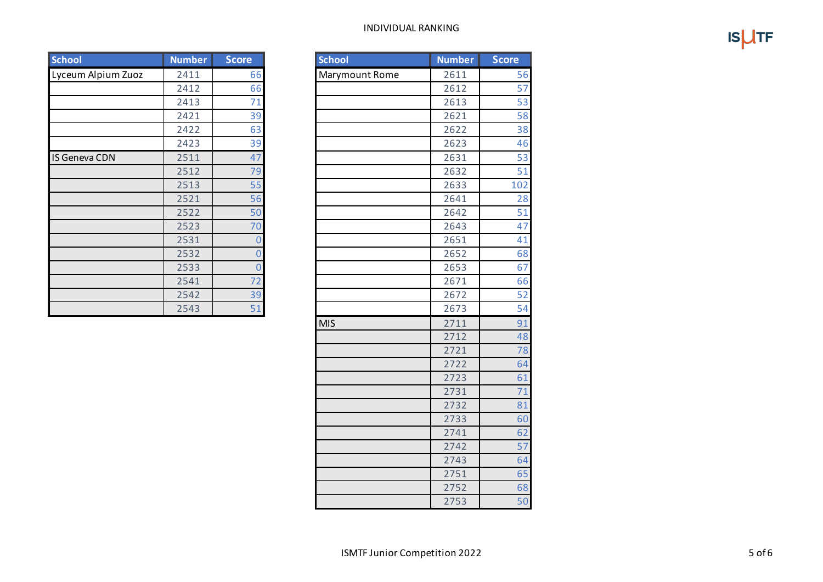## INDIVIDUAL RANKING

**ISUTF** 

| School             | <b>Number</b> | <b>Score</b> | <b>School</b>  | <b>Number</b> | <b>Score</b> |
|--------------------|---------------|--------------|----------------|---------------|--------------|
| Lyceum Alpium Zuoz | 2411          | 66           | Marymount Rome | 2611          |              |
|                    | 2412          | 66           |                | 2612          |              |
|                    | 2413          | 71           |                | 2613          |              |
|                    | 2421          | 39           |                | 2621          |              |
|                    | 2422          | 63           |                | 2622          |              |
|                    | 2423          | 39           |                | 2623          |              |
| IS Geneva CDN      | 2511          | 47           |                | 2631          |              |
|                    | 2512          | 79           |                | 2632          |              |
|                    | 2513          | 55           |                | 2633          | 1(           |
|                    | 2521          | 56           |                | 2641          |              |
|                    | 2522          | 50           |                | 2642          |              |
|                    | 2523          | 70           |                | 2643          |              |
|                    | 2531          |              |                | 2651          |              |
|                    | 2532          |              |                | 2652          |              |
|                    | 2533          |              |                | 2653          |              |
|                    | 2541          | 72           |                | 2671          |              |
|                    | 2542          | 39           |                | 2672          |              |
|                    | 2543          | 51           |                | 2673          |              |

| Lyceum Alpium Zuoz | 2411 | 66               | Marymount Rome | 2611 | 56  |
|--------------------|------|------------------|----------------|------|-----|
|                    | 2412 | 66               |                | 2612 | 57  |
|                    | 2413 | 71               |                | 2613 | 53  |
|                    | 2421 | 39               |                | 2621 | 58  |
|                    | 2422 | 63               |                | 2622 | 38  |
|                    | 2423 | 39               |                | 2623 | 46  |
| IS Geneva CDN      | 2511 | 47               |                | 2631 | 53  |
|                    | 2512 | 79               |                | 2632 | 51  |
|                    | 2513 | 55               |                | 2633 | 102 |
|                    | 2521 | 56               |                | 2641 | 28  |
|                    | 2522 | $\overline{50}$  |                | 2642 | 51  |
|                    | 2523 | 70               |                | 2643 | 47  |
|                    | 2531 | $\overline{0}$   |                | 2651 | 41  |
|                    | 2532 | $\boldsymbol{0}$ |                | 2652 | 68  |
|                    | 2533 | $\overline{0}$   |                | 2653 | 67  |
|                    | 2541 | $\overline{72}$  |                | 2671 | 66  |
|                    | 2542 | 39               |                | 2672 | 52  |
|                    | 2543 | 51               |                | 2673 | 54  |
|                    |      |                  | <b>MIS</b>     | 2711 | 91  |
|                    |      |                  |                | 2712 | 48  |
|                    |      |                  |                | 2721 | 78  |
|                    |      |                  |                | 2722 | 64  |
|                    |      |                  |                | 2723 | 61  |
|                    |      |                  |                | 2731 | 71  |
|                    |      |                  |                | 2732 | 81  |
|                    |      |                  |                | 2733 | 60  |
|                    |      |                  |                | 2741 | 62  |
|                    |      |                  |                | 2742 | 57  |
|                    |      |                  |                | 2743 | 64  |
|                    |      |                  |                | 2751 | 65  |
|                    |      |                  |                | 2752 | 68  |
|                    |      |                  |                | 2753 | 50  |